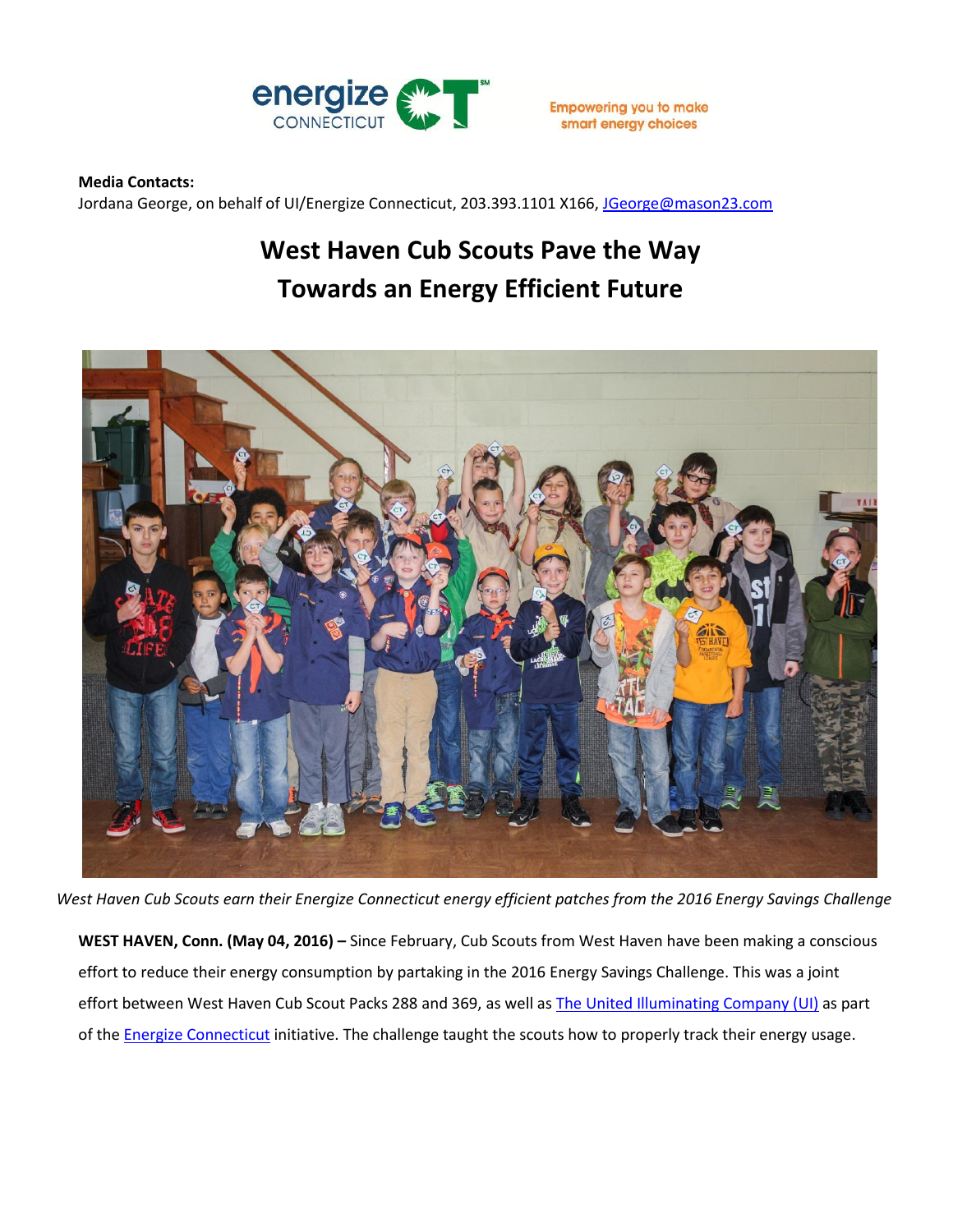

## **Media Contacts:**

Jordana George, on behalf of UI/Energize Connecticut, 203.393.1101 X166, [JGeorge@mason23.com](mailto:JGeorge@mason23.com)

## **West Haven Cub Scouts Pave the Way Towards an Energy Efficient Future**



*West Haven Cub Scouts earn their Energize Connecticut energy efficient patches from the 2016 Energy Savings Challenge*

**WEST HAVEN, Conn. (May 04, 2016) –** Since February, Cub Scouts from West Haven have been making a conscious effort to reduce their energy consumption by partaking in the 2016 Energy Savings Challenge. This was a joint effort between West Haven Cub Scout Packs 288 and 369, as well as [The United Illuminating Company](https://www.uinet.com/wps/portal/uinet/home/!ut/p/a1/04_Sj9CPykssy0xPLMnMz0vMAfGjzOJ9_D3dfZ3NPR09wwJNDTxNPI0C_YOcDQ0MDIAKIoEKDHAARwNC-sP1o9CUBJuZAJW4OpqHePoZuBsaQRXgsaIgN8Ig01FREQBdElJH/dl5/d5/L2dBISEvZ0FBIS9nQSEh/?vsrefdom=public-relations&utm_campaign=cub-scout-challenge-release&utm_medium=public-relations&utm_source=ui-media-list&utm_content=&utm_term=) (UI) as part of the **Energize Connecticut** initiative. The challenge taught the scouts how to properly track their energy usage.